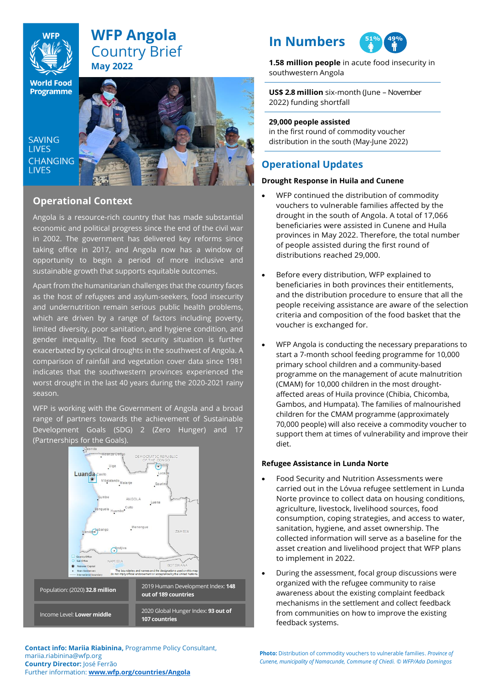

# **WFP Angola** Country Brief **May 2022**

**World Food Programme** 

SAVING **TIVES CHANGING LIVES** 



# **Operational Context**

Angola is a resource-rich country that has made substantial economic and political progress since the end of the civil war in 2002. The government has delivered key reforms since taking office in 2017, and Angola now has a window of opportunity to begin a period of more inclusive and sustainable growth that supports equitable outcomes.

Apart from the humanitarian challenges that the country faces as the host of refugees and asylum-seekers, food insecurity and undernutrition remain serious public health problems, which are driven by a range of factors including poverty, limited diversity, poor sanitation, and hygiene condition, and gender inequality. The food security situation is further exacerbated by cyclical droughts in the southwest of Angola. A comparison of rainfall and vegetation cover data since 1981 indicates that the southwestern provinces experienced the worst drought in the last 40 years during the 2020-2021 rainy season.

WFP is working with the Government of Angola and a broad range of partners towards the achievement of Sustainable Development Goals (SDG) 2 (Zero Hunger) and 17 (Partnerships for the Goals).



**Contact info: Mariia Riabinina,** Programme Policy Consultant, mariia.riabinina@wfp.org **Country Director:** José Ferrão Further information: **[www.wfp.org/countries/Angola](http://www.wfp.org/countries/Angola)**

# **In Numbers**



**1.58 million people** in acute food insecurity in southwestern Angola

**US\$ 2.8 million** six-month (June – November 2022) funding shortfall

### **29,000 people assisted**

in the first round of commodity voucher distribution in the south (May-June 2022)

# **Operational Updates**

# **Drought Response in Huila and Cunene**

- WFP continued the distribution of commodity vouchers to vulnerable families affected by the drought in the south of Angola. A total of 17,066 beneficiaries were assisted in Cunene and Huíla provinces in May 2022. Therefore, the total number of people assisted during the first round of distributions reached 29,000.
- Before every distribution, WFP explained to beneficiaries in both provinces their entitlements, and the distribution procedure to ensure that all the people receiving assistance are aware of the selection criteria and composition of the food basket that the voucher is exchanged for.
- WFP Angola is conducting the necessary preparations to start a 7-month school feeding programme for 10,000 primary school children and a community-based programme on the management of acute malnutrition (CMAM) for 10,000 children in the most droughtaffected areas of Huila province (Chibia, Chicomba, Gambos, and Humpata). The families of malnourished children for the CMAM programme (approximately 70,000 people) will also receive a commodity voucher to support them at times of vulnerability and improve their diet.

## **Refugee Assistance in Lunda Norte**

- Food Security and Nutrition Assessments were carried out in the Lóvua refugee settlement in Lunda Norte province to collect data on housing conditions, agriculture, livestock, livelihood sources, food consumption, coping strategies, and access to water, sanitation, hygiene, and asset ownership. The collected information will serve as a baseline for the asset creation and livelihood project that WFP plans to implement in 2022.
- During the assessment, focal group discussions were organized with the refugee community to raise awareness about the existing complaint feedback mechanisms in the settlement and collect feedback from communities on how to improve the existing feedback systems.

**Photo:** Distribution of commodity vouchers to vulnerable families. *Province of Cunene, municipality of Namacunde, Commune of Chiedi. © WFP/Ada Domingos*